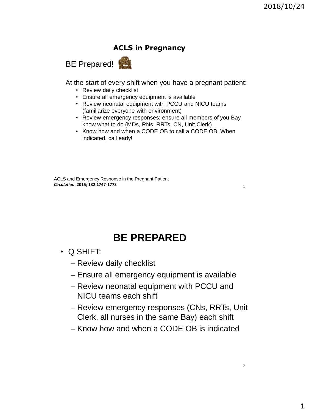1

2

#### **ACLS in Pregnancy**



At the start of every shift when you have a pregnant patient:

- Review daily checklist
- Ensure all emergency equipment is available
- Review neonatal equipment with PCCU and NICU teams (familiarize everyone with environment)
- Review emergency responses; ensure all members of you Bay know what to do (MDs, RNs, RRTs, CN, Unit Clerk)
- Know how and when a CODE OB to call a CODE OB. When indicated, call early!

ACLS and Emergency Response in the Pregnant Patient *Circulation***. 2015; 132:1747-1773**

# **BE PREPARED**

- Q SHIFT:
	- Review daily checklist
	- Ensure all emergency equipment is available
	- Review neonatal equipment with PCCU and NICU teams each shift
	- Review emergency responses (CNs, RRTs, Unit Clerk, all nurses in the same Bay) each shift
	- Know how and when a CODE OB is indicated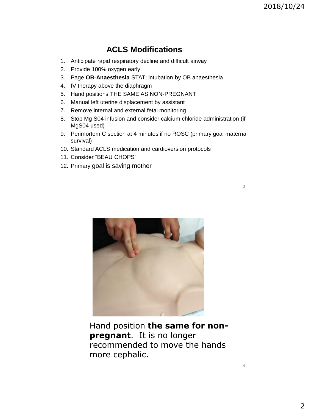3

4

### **ACLS Modifications**

- 1. Anticipate rapid respiratory decline and difficult airway
- 2. Provide 100% oxygen early
- 3. Page **OB**-**Anaesthesia** STAT; intubation by OB anaesthesia
- 4. IV therapy above the diaphragm
- 5. Hand positions THE SAME AS NON-PREGNANT
- 6. Manual left uterine displacement by assistant
- 7. Remove internal and external fetal monitoring
- 8. Stop Mg S04 infusion and consider calcium chloride administration (if MgS04 used)
- 9. Perimortem C section at 4 minutes if no ROSC (primary goal maternal survival)
- 10. Standard ACLS medication and cardioversion protocols
- 11. Consider "BEAU CHOPS"
- 12. Primary goal is saving mother



Hand position **the same for nonpregnant**. It is no longer recommended to move the hands more cephalic.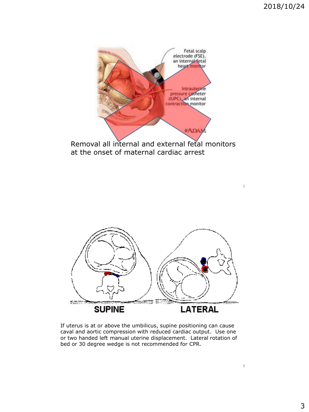

If uterus is at or above the umbilicus, supine positioning can cause caval and aortic compression with reduced cardiac output. Use one or two handed left manual uterine displacement. Lateral rotation of bed or 30 degree wedge is not recommended for CPR.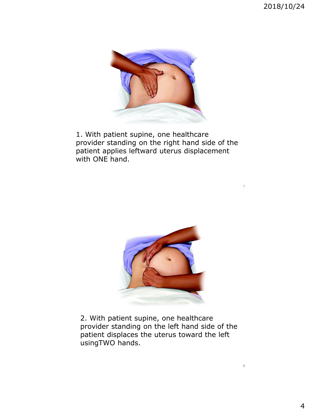2018/10/24

7

8



1. With patient supine, one healthcare provider standing on the right hand side of the patient applies leftward uterus displacement with ONE hand.



2. With patient supine, one healthcare provider standing on the left hand side of the patient displaces the uterus toward the left usingTWO hands.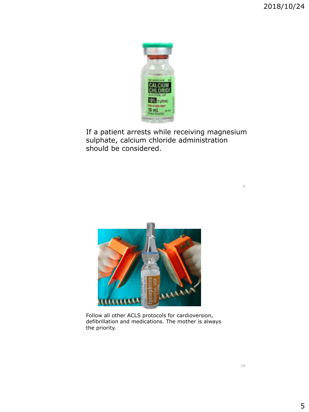

If a patient arrests while receiving magnesium sulphate, calcium chloride administration should be considered.



Follow all other ACLS protocols for cardioversion, defibrillation and medications. The mother is always the priority.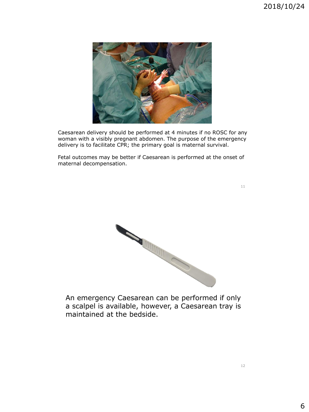

Caesarean delivery should be performed at 4 minutes if no ROSC for any woman with a visibly pregnant abdomen. The purpose of the emergency delivery is to facilitate CPR; the primary goal is maternal survival.

Fetal outcomes may be better if Caesarean is performed at the onset of maternal decompensation.

11



An emergency Caesarean can be performed if only a scalpel is available, however, a Caesarean tray is maintained at the bedside.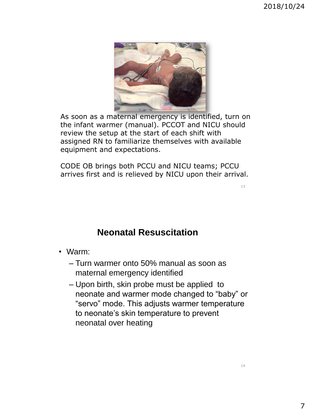

As soon as a maternal emergency is identified, turn on the infant warmer (manual). PCCOT and NICU should review the setup at the start of each shift with assigned RN to familiarize themselves with available equipment and expectations.

CODE OB brings both PCCU and NICU teams; PCCU arrives first and is relieved by NICU upon their arrival.

13

## **Neonatal Resuscitation**

- Warm:
	- Turn warmer onto 50% manual as soon as maternal emergency identified
	- Upon birth, skin probe must be applied to neonate and warmer mode changed to "baby" or "servo" mode. This adjusts warmer temperature to neonate's skin temperature to prevent neonatal over heating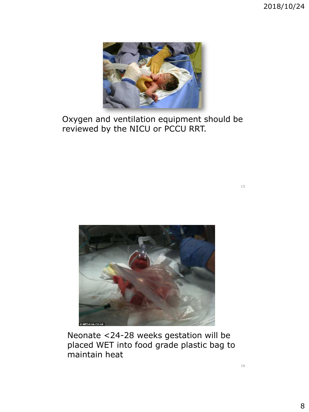2018/10/24



Oxygen and ventilation equipment should be reviewed by the NICU or PCCU RRT.



Neonate <24-28 weeks gestation will be placed WET into food grade plastic bag to maintain heat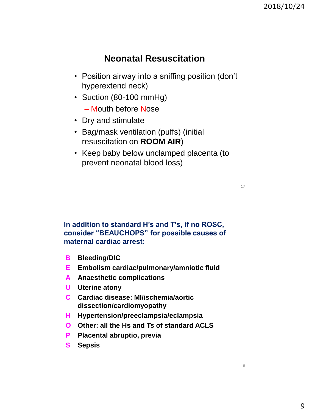## **Neonatal Resuscitation**

- Position airway into a sniffing position (don't hyperextend neck)
- Suction (80-100 mmHg)
	- Mouth before Nose
- Dry and stimulate
- Bag/mask ventilation (puffs) (initial resuscitation on **ROOM AIR**)
- Keep baby below unclamped placenta (to prevent neonatal blood loss)

**In addition to standard H's and T's, if no ROSC, consider "BEAUCHOPS" for possible causes of maternal cardiac arrest:**

- **B Bleeding/DIC**
- **E Embolism cardiac/pulmonary/amniotic fluid**
- **A Anaesthetic complications**
- **U Uterine atony**
- **C Cardiac disease: MI/ischemia/aortic dissection/cardiomyopathy**
- **H Hypertension/preeclampsia/eclampsia**
- **O Other: all the Hs and Ts of standard ACLS**
- **P Placental abruptio, previa**
- **S Sepsis**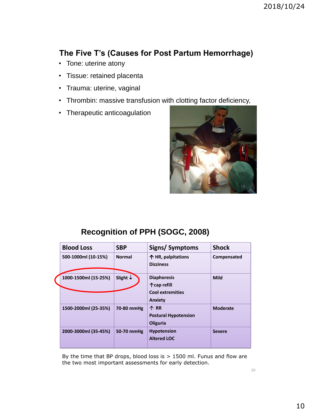### **The Five T's (Causes for Post Partum Hemorrhage)**

- Tone: uterine atony
- Tissue: retained placenta
- Trauma: uterine, vaginal
- Thrombin: massive transfusion with clotting factor deficiency,
- Therapeutic anticoagulation



#### **Recognition of PPH (SOGC, 2008)**

| <b>Blood Loss</b>    | <b>SBP</b>          | Signs/Symptoms                                                                 | <b>Shock</b>    |
|----------------------|---------------------|--------------------------------------------------------------------------------|-----------------|
| 500-1000ml (10-15%)  | <b>Normal</b>       | 个 HR, palpitations<br><b>Dizziness</b>                                         | Compensated     |
| 1000-1500ml (15-25%) | Slight $\downarrow$ | <b>Diaphoresis</b><br>个cap refill<br><b>Cool extremities</b><br><b>Anxiety</b> | Mild            |
| 1500-2000ml (25-35%) | 70-80 mmHg          | 个 RR<br><b>Postural Hypotension</b><br>Oliguria                                | <b>Moderate</b> |
| 2000-3000ml (35-45%) | 50-70 mmHg          | <b>Hypotension</b><br><b>Altered LOC</b>                                       | <b>Severe</b>   |

By the time that BP drops, blood loss is > 1500 ml. Funus and flow are the two most important assessments for early detection.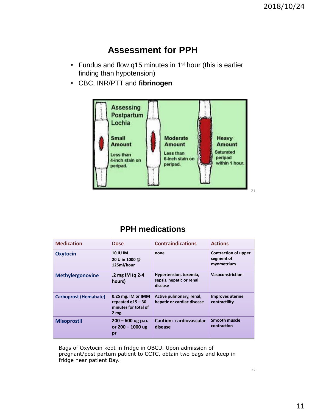### **Assessment for PPH**

- Fundus and flow q15 minutes in 1<sup>st</sup> hour (this is earlier finding than hypotension)
- CBC, INR/PTT and **fibrinogen**



#### **PPH medications**

| <b>Medication</b>       | <b>Dose</b>                                                                  | <b>Contraindications</b>                                      | <b>Actions</b>                                          |
|-------------------------|------------------------------------------------------------------------------|---------------------------------------------------------------|---------------------------------------------------------|
| Oxytocin                | <b>10 IU IM</b><br>20 U in 1000 @<br>125ml/hour                              | none                                                          | <b>Contraction of upper</b><br>segment of<br>myometrium |
| <b>Methylergonovine</b> | .2 mg IM (g 2-4<br>hours)                                                    | Hypertension, toxemia,<br>sepsis, hepatic or renal<br>disease | Vasoconstriction                                        |
| Carboprost (Hemabate)   | 0.25 mg. IM or IMM<br>repeated $q15 - 30$<br>minutes for total of<br>$2$ mg. | Active pulmonary, renal,<br>hepatic or cardiac disease        | <b>Improves uterine</b><br>contractility                |
| <b>Misoprostil</b>      | $200 - 600$ ug p.o.<br>or $200 - 1000$ ug<br>pr                              | Caution: cardiovascular<br>disease                            | Smooth muscle<br>contraction                            |

Bags of Oxytocin kept in fridge in OBCU. Upon admission of pregnant/post partum patient to CCTC, obtain two bags and keep in fridge near patient Bay.